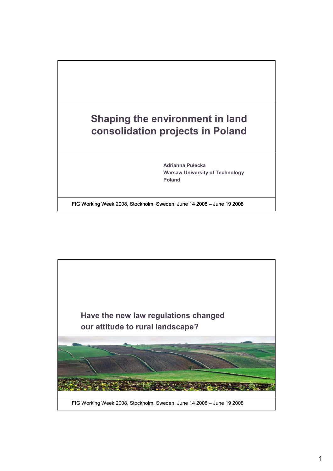

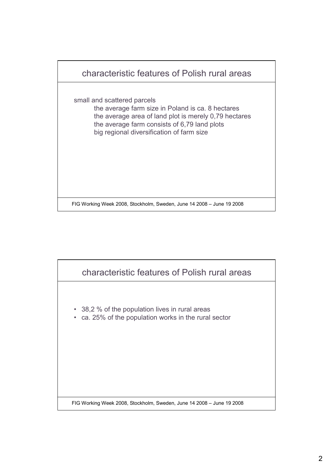

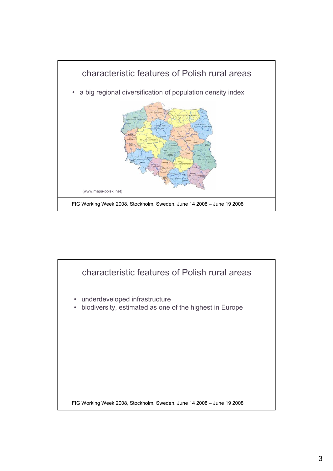

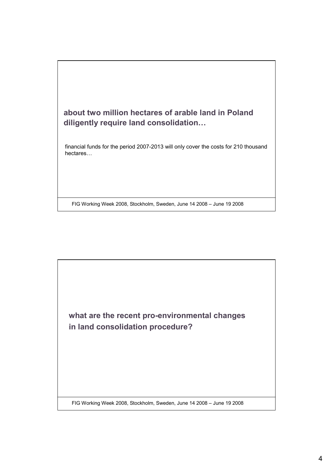

FIG Working Week 2008, Stockholm, Sweden, June 14 2008 – June 19 2008

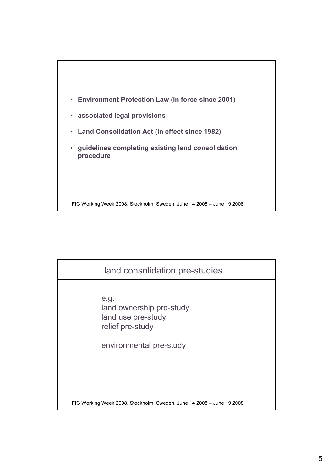

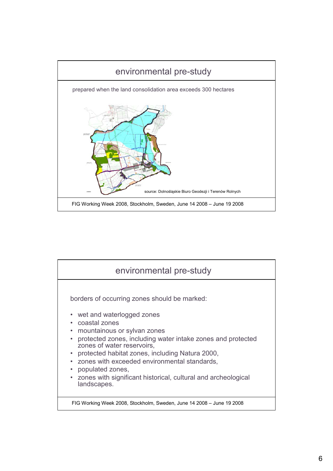

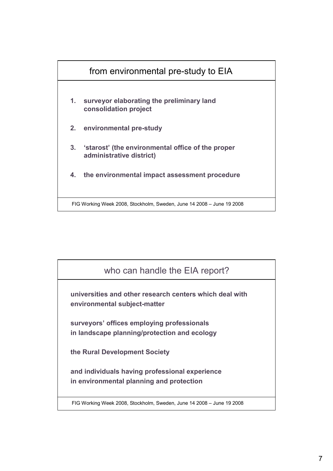

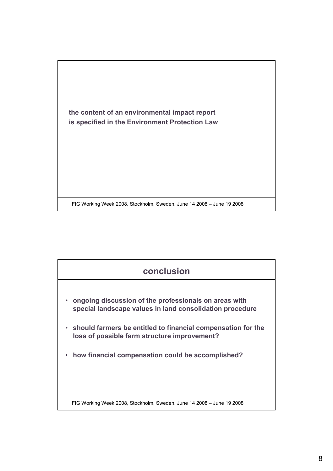